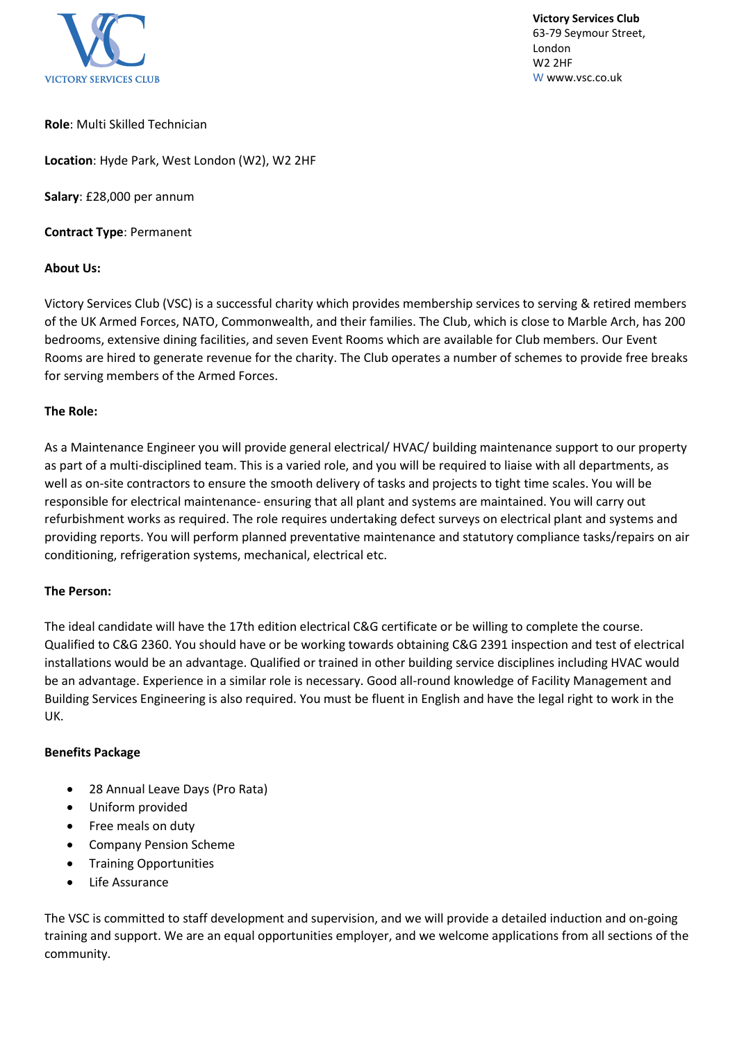

**Victory Services Club** 63-79 Seymour Street, London W2 2HF W www.vsc.co.uk

### **Role**: Multi Skilled Technician

**Location**: Hyde Park, West London (W2), W2 2HF

**Salary**: £28,000 per annum

**Contract Type**: Permanent

# **About Us:**

Victory Services Club (VSC) is a successful charity which provides membership services to serving & retired members of the UK Armed Forces, NATO, Commonwealth, and their families. The Club, which is close to Marble Arch, has 200 bedrooms, extensive dining facilities, and seven Event Rooms which are available for Club members. Our Event Rooms are hired to generate revenue for the charity. The Club operates a number of schemes to provide free breaks for serving members of the Armed Forces.

# **The Role:**

As a Maintenance Engineer you will provide general electrical/ HVAC/ building maintenance support to our property as part of a multi-disciplined team. This is a varied role, and you will be required to liaise with all departments, as well as on-site contractors to ensure the smooth delivery of tasks and projects to tight time scales. You will be responsible for electrical maintenance- ensuring that all plant and systems are maintained. You will carry out refurbishment works as required. The role requires undertaking defect surveys on electrical plant and systems and providing reports. You will perform planned preventative maintenance and statutory compliance tasks/repairs on air conditioning, refrigeration systems, mechanical, electrical etc.

### **The Person:**

The ideal candidate will have the 17th edition electrical C&G certificate or be willing to complete the course. Qualified to C&G 2360. You should have or be working towards obtaining C&G 2391 inspection and test of electrical installations would be an advantage. Qualified or trained in other building service disciplines including HVAC would be an advantage. Experience in a similar role is necessary. Good all-round knowledge of Facility Management and Building Services Engineering is also required. You must be fluent in English and have the legal right to work in the UK.

### **Benefits Package**

- 28 Annual Leave Days (Pro Rata)
- Uniform provided
- Free meals on duty
- Company Pension Scheme
- Training Opportunities
- Life Assurance

The VSC is committed to staff development and supervision, and we will provide a detailed induction and on-going training and support. We are an equal opportunities employer, and we welcome applications from all sections of the community.